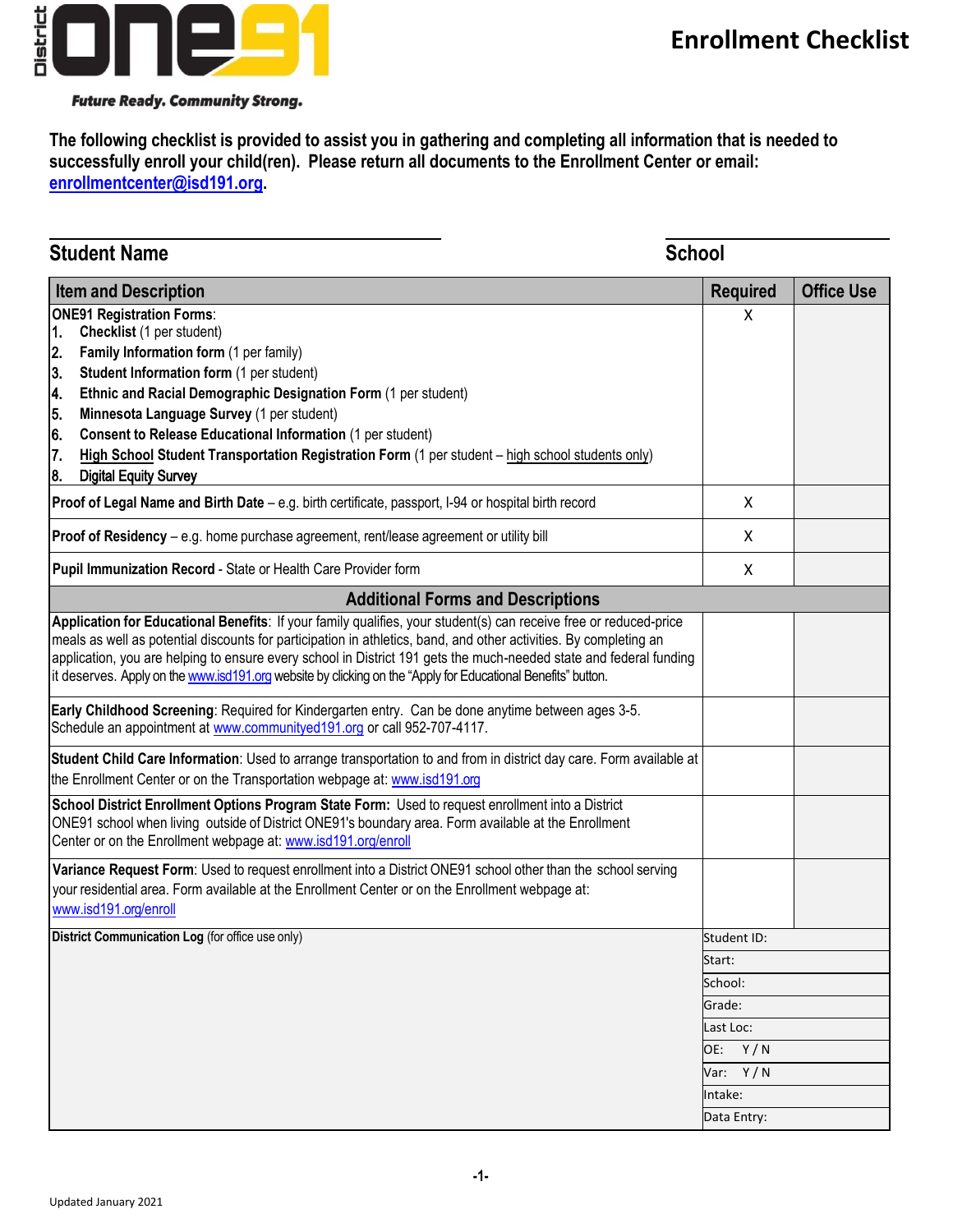

#### **Future Ready. Community Strong.**

**The following checklist is provided to assist you in gathering and completing all information that is needed to successfully enroll your child(ren). Please return all documents to the Enrollment Center or email: enrollmentcenter@isd191.org.**

| <b>School</b><br><b>Student Name</b>                                                                                                                                                                                                                                                                                                                                                                                                                                                                                             |  |                   |
|----------------------------------------------------------------------------------------------------------------------------------------------------------------------------------------------------------------------------------------------------------------------------------------------------------------------------------------------------------------------------------------------------------------------------------------------------------------------------------------------------------------------------------|--|-------------------|
| <b>Required</b><br><b>Item and Description</b>                                                                                                                                                                                                                                                                                                                                                                                                                                                                                   |  | <b>Office Use</b> |
| <b>ONE91 Registration Forms:</b><br>X<br>Checklist (1 per student)<br>1.<br>2.<br>Family Information form (1 per family)<br>3.<br>Student Information form (1 per student)<br>4.<br>Ethnic and Racial Demographic Designation Form (1 per student)<br>5.<br>Minnesota Language Survey (1 per student)<br>6.<br><b>Consent to Release Educational Information (1 per student)</b><br>7.<br>High School Student Transportation Registration Form (1 per student – high school students only)<br>8.<br><b>Digital Equity Survey</b> |  |                   |
| Proof of Legal Name and Birth Date - e.g. birth certificate, passport, I-94 or hospital birth record<br>X                                                                                                                                                                                                                                                                                                                                                                                                                        |  |                   |
| Proof of Residency - e.g. home purchase agreement, rent/lease agreement or utility bill<br>X                                                                                                                                                                                                                                                                                                                                                                                                                                     |  |                   |
| Pupil Immunization Record - State or Health Care Provider form<br>X                                                                                                                                                                                                                                                                                                                                                                                                                                                              |  |                   |
| <b>Additional Forms and Descriptions</b>                                                                                                                                                                                                                                                                                                                                                                                                                                                                                         |  |                   |
| Application for Educational Benefits: If your family qualifies, your student(s) can receive free or reduced-price<br>meals as well as potential discounts for participation in athletics, band, and other activities. By completing an<br>application, you are helping to ensure every school in District 191 gets the much-needed state and federal funding<br>it deserves. Apply on the www.isd191.org website by clicking on the "Apply for Educational Benefits" button.                                                     |  |                   |
| Early Childhood Screening: Required for Kindergarten entry. Can be done anytime between ages 3-5.<br>Schedule an appointment at www.communityed191.org or call 952-707-4117.                                                                                                                                                                                                                                                                                                                                                     |  |                   |
| Student Child Care Information: Used to arrange transportation to and from in district day care. Form available at<br>the Enrollment Center or on the Transportation webpage at: www.isd191.org                                                                                                                                                                                                                                                                                                                                  |  |                   |
| School District Enrollment Options Program State Form: Used to request enrollment into a District<br>ONE91 school when living outside of District ONE91's boundary area. Form available at the Enrollment<br>Center or on the Enrollment webpage at: www.isd191.org/enroll                                                                                                                                                                                                                                                       |  |                   |
| Variance Request Form: Used to request enrollment into a District ONE91 school other than the school serving<br>your residential area. Form available at the Enrollment Center or on the Enrollment webpage at:<br>www.isd191.org/enroll                                                                                                                                                                                                                                                                                         |  |                   |
| <b>District Communication Log</b> (for office use only)<br>Student ID:                                                                                                                                                                                                                                                                                                                                                                                                                                                           |  |                   |
| Start:                                                                                                                                                                                                                                                                                                                                                                                                                                                                                                                           |  |                   |
| School:                                                                                                                                                                                                                                                                                                                                                                                                                                                                                                                          |  |                   |
| Grade:                                                                                                                                                                                                                                                                                                                                                                                                                                                                                                                           |  |                   |
| Last Loc:                                                                                                                                                                                                                                                                                                                                                                                                                                                                                                                        |  |                   |
| OE: Y/N                                                                                                                                                                                                                                                                                                                                                                                                                                                                                                                          |  |                   |
| Var: $Y/N$                                                                                                                                                                                                                                                                                                                                                                                                                                                                                                                       |  |                   |
| Intake:<br>Data Entry:                                                                                                                                                                                                                                                                                                                                                                                                                                                                                                           |  |                   |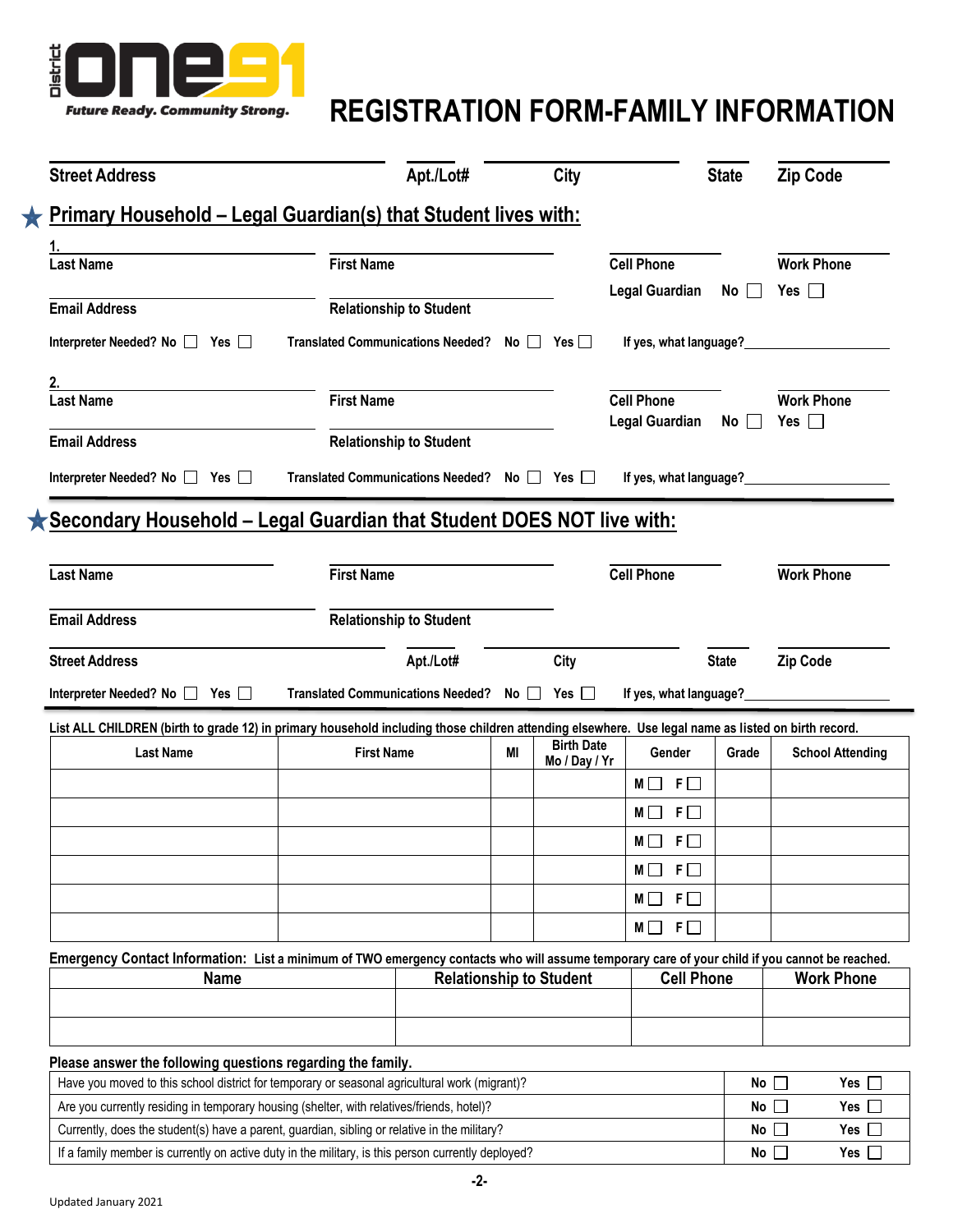

# **REGISTRATION FORM-FAMILY INFORMATION**

| <b>Street Address</b>                                                                                                                                                                                                                                     |                                              | Apt./Lot#                      |    | City                               |                         | <b>State</b>                 | <b>Zip Code</b>                                     |
|-----------------------------------------------------------------------------------------------------------------------------------------------------------------------------------------------------------------------------------------------------------|----------------------------------------------|--------------------------------|----|------------------------------------|-------------------------|------------------------------|-----------------------------------------------------|
| Primary Household - Legal Guardian(s) that Student lives with:                                                                                                                                                                                            |                                              |                                |    |                                    |                         |                              |                                                     |
|                                                                                                                                                                                                                                                           |                                              |                                |    |                                    |                         |                              |                                                     |
| <b>Last Name</b>                                                                                                                                                                                                                                          | <b>First Name</b>                            |                                |    |                                    | <b>Cell Phone</b>       |                              | <b>Work Phone</b>                                   |
|                                                                                                                                                                                                                                                           |                                              |                                |    |                                    | <b>Legal Guardian</b>   | $No$                         | Yes $\Box$                                          |
| <b>Email Address</b>                                                                                                                                                                                                                                      |                                              | <b>Relationship to Student</b> |    |                                    |                         |                              |                                                     |
| Interpreter Needed? No   Yes                                                                                                                                                                                                                              | Translated Communications Needed? No □ Yes □ |                                |    |                                    | If yes, what language?  |                              |                                                     |
| <b>Last Name</b>                                                                                                                                                                                                                                          | <b>First Name</b>                            |                                |    |                                    | <b>Cell Phone</b>       |                              | <b>Work Phone</b>                                   |
|                                                                                                                                                                                                                                                           |                                              |                                |    |                                    | Legal Guardian          | $No$                         | Yes $\Box$                                          |
| <b>Email Address</b>                                                                                                                                                                                                                                      |                                              | <b>Relationship to Student</b> |    |                                    |                         |                              |                                                     |
| Interpreter Needed? No $\Box$ Yes $\Box$                                                                                                                                                                                                                  | Translated Communications Needed? No □ Yes □ |                                |    |                                    | If yes, what language?_ |                              |                                                     |
| Secondary Household - Legal Guardian that Student DOES NOT live with:                                                                                                                                                                                     |                                              |                                |    |                                    |                         |                              |                                                     |
| <b>Last Name</b>                                                                                                                                                                                                                                          | <b>First Name</b>                            |                                |    |                                    | <b>Cell Phone</b>       |                              | <b>Work Phone</b>                                   |
|                                                                                                                                                                                                                                                           |                                              |                                |    |                                    |                         |                              |                                                     |
|                                                                                                                                                                                                                                                           |                                              | <b>Relationship to Student</b> |    |                                    |                         |                              |                                                     |
|                                                                                                                                                                                                                                                           |                                              | Apt./Lot#                      |    | City                               |                         | <b>State</b>                 | Zip Code                                            |
| <b>Email Address</b><br><b>Street Address</b><br>Interpreter Needed? No $\Box$ Yes $\Box$                                                                                                                                                                 | Translated Communications Needed? No □       |                                |    | Yes $\Box$                         | If yes, what language?  |                              |                                                     |
|                                                                                                                                                                                                                                                           |                                              |                                |    |                                    |                         |                              |                                                     |
| List ALL CHILDREN (birth to grade 12) in primary household including those children attending elsewhere. Use legal name as listed on birth record.<br><b>Last Name</b>                                                                                    | <b>First Name</b>                            |                                | MI | <b>Birth Date</b><br>Mo / Day / Yr | Gender                  | Grade                        | <b>School Attending</b>                             |
|                                                                                                                                                                                                                                                           |                                              |                                |    |                                    | $F$ $\Box$<br>MII.      |                              |                                                     |
|                                                                                                                                                                                                                                                           |                                              |                                |    |                                    | $F \Box$<br>MII         |                              |                                                     |
|                                                                                                                                                                                                                                                           |                                              |                                |    |                                    |                         |                              |                                                     |
|                                                                                                                                                                                                                                                           |                                              |                                |    |                                    | $F \Box$<br>MII         |                              |                                                     |
|                                                                                                                                                                                                                                                           |                                              |                                |    |                                    | $F \Box$<br>$M \Box$    |                              |                                                     |
|                                                                                                                                                                                                                                                           |                                              |                                |    |                                    | $F\Box$<br>M            |                              |                                                     |
|                                                                                                                                                                                                                                                           |                                              |                                |    |                                    | $F\Box$<br>мI           |                              |                                                     |
|                                                                                                                                                                                                                                                           |                                              |                                |    |                                    |                         |                              |                                                     |
| Emergency Contact Information: List a minimum of TWO emergency contacts who will assume temporary care of your child if you cannot be reached.<br><b>Name</b>                                                                                             |                                              |                                |    | <b>Relationship to Student</b>     | <b>Cell Phone</b>       |                              |                                                     |
|                                                                                                                                                                                                                                                           |                                              |                                |    |                                    |                         |                              |                                                     |
|                                                                                                                                                                                                                                                           |                                              |                                |    |                                    |                         |                              |                                                     |
|                                                                                                                                                                                                                                                           |                                              |                                |    |                                    |                         |                              |                                                     |
|                                                                                                                                                                                                                                                           |                                              |                                |    |                                    |                         |                              |                                                     |
| Please answer the following questions regarding the family.<br>Have you moved to this school district for temporary or seasonal agricultural work (migrant)?<br>Are you currently residing in temporary housing (shelter, with relatives/friends, hotel)? |                                              |                                |    |                                    |                         | No $\square$<br>No $\square$ | <b>Work Phone</b><br>Yes $\square$<br>Yes $\square$ |

If a family member is currently on active duty in the military, is this person currently deployed? **No Yes**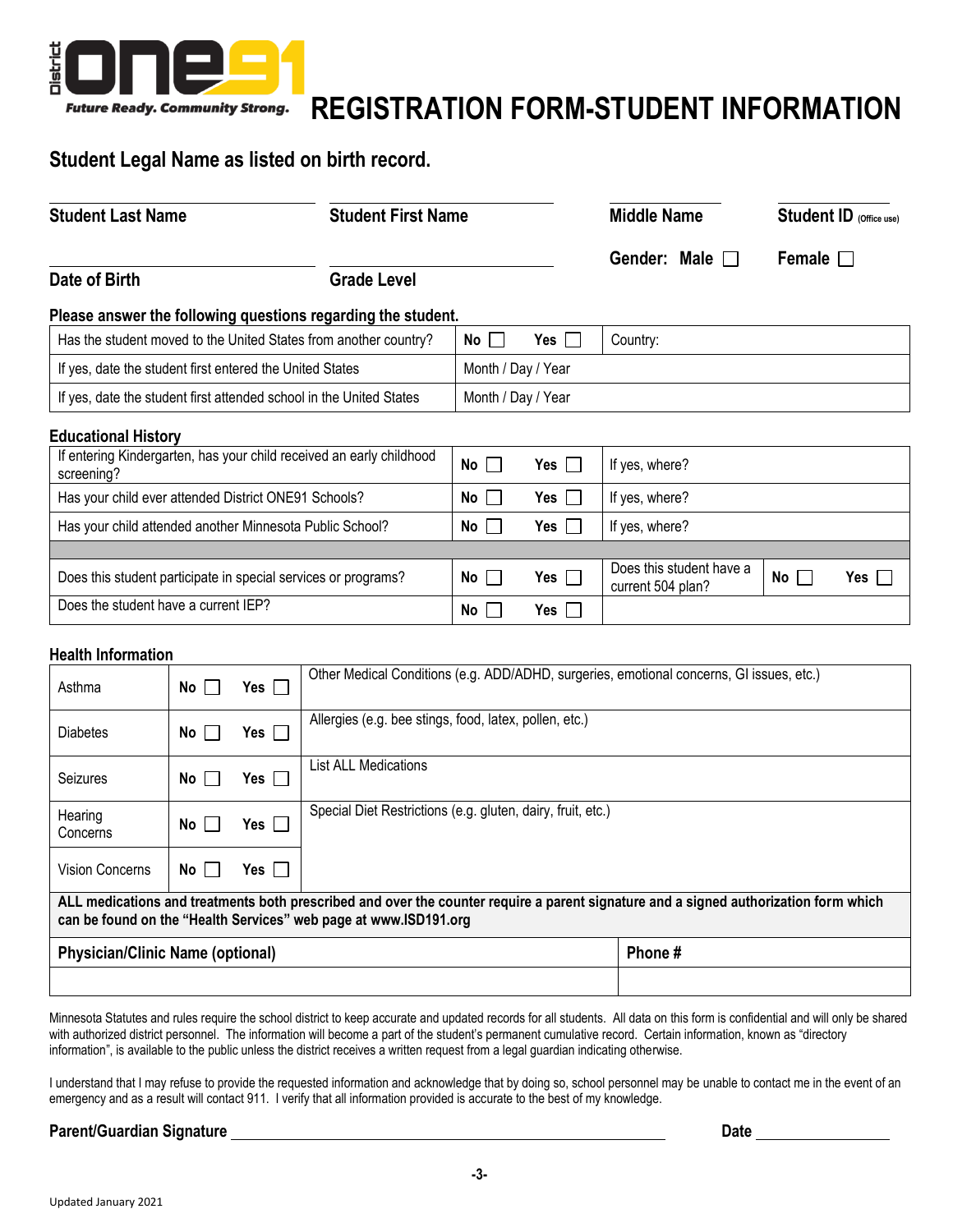

# **REGISTRATION FORM-STUDENT INFORMATION**

## **Student Legal Name as listed on birth record.**

| <b>Student Last Name</b>                                                           | <b>Student First Name</b> |                                 |                         | <b>Middle Name</b>                            | <b>Student ID</b> (Office use) |
|------------------------------------------------------------------------------------|---------------------------|---------------------------------|-------------------------|-----------------------------------------------|--------------------------------|
|                                                                                    |                           |                                 |                         | Gender: Male $\Box$                           | Female $\Box$                  |
| Date of Birth                                                                      | <b>Grade Level</b>        |                                 |                         |                                               |                                |
| Please answer the following questions regarding the student.                       |                           |                                 |                         |                                               |                                |
| Has the student moved to the United States from another country?                   |                           | No II                           | Yes I I                 | Country:                                      |                                |
| If yes, date the student first entered the United States                           |                           | Month / Day / Year              |                         |                                               |                                |
| If yes, date the student first attended school in the United States                |                           | Month / Day / Year              |                         |                                               |                                |
| <b>Educational History</b>                                                         |                           |                                 |                         |                                               |                                |
| If entering Kindergarten, has your child received an early childhood<br>screening? |                           | No <sub>1</sub><br>$\mathbf{I}$ | Yes l<br>$\mathbb{R}^n$ | If yes, where?                                |                                |
| Has your child ever attended District ONE91 Schools?                               |                           | No                              | Yes l                   | If yes, where?                                |                                |
| Has your child attended another Minnesota Public School?                           |                           | No                              | Yes                     | If yes, where?                                |                                |
|                                                                                    |                           |                                 |                         |                                               |                                |
| Does this student participate in special services or programs?                     |                           | No                              | Yes                     | Does this student have a<br>current 504 plan? | No<br>Yes                      |
| Does the student have a current IEP?                                               |                           | No                              | Yes                     |                                               |                                |

#### **Health Information**

| Asthma                                  | $No$                 | Yes $\Box$ | Other Medical Conditions (e.g. ADD/ADHD, surgeries, emotional concerns, GI issues, etc.)                                                                                                                 |        |
|-----------------------------------------|----------------------|------------|----------------------------------------------------------------------------------------------------------------------------------------------------------------------------------------------------------|--------|
| <b>Diabetes</b>                         | No l<br>L            | Yes $\Box$ | Allergies (e.g. bee stings, food, latex, pollen, etc.)                                                                                                                                                   |        |
| Seizures                                | No II                | Yes $\Box$ | List ALL Medications                                                                                                                                                                                     |        |
| Hearing<br>Concerns                     | No l                 | Yes $\Box$ | Special Diet Restrictions (e.g. gluten, dairy, fruit, etc.)                                                                                                                                              |        |
| Vision Concerns                         | $No$ $\vert$ $\vert$ | Yes $\Box$ |                                                                                                                                                                                                          |        |
|                                         |                      |            | ALL medications and treatments both prescribed and over the counter require a parent signature and a signed authorization form which<br>can be found on the "Health Services" web page at www.ISD191.org |        |
| <b>Physician/Clinic Name (optional)</b> |                      |            |                                                                                                                                                                                                          | Phone# |
|                                         |                      |            |                                                                                                                                                                                                          |        |

Minnesota Statutes and rules require the school district to keep accurate and updated records for all students. All data on this form is confidential and will only be shared with authorized district personnel. The information will become a part of the student's permanent cumulative record. Certain information, known as "directory" information", is available to the public unless the district receives a written request from a legal guardian indicating otherwise.

I understand that I may refuse to provide the requested information and acknowledge that by doing so, school personnel may be unable to contact me in the event of an emergency and as a result will contact 911. I verify that all information provided is accurate to the best of my knowledge.

#### Parent/Guardian Signature **Network of the Contract of Contract Contract of Contract Contract Contract Contract Contract Contract Contract Contract Contract Contract Contract Contract Contract Contract Contract Contract Con**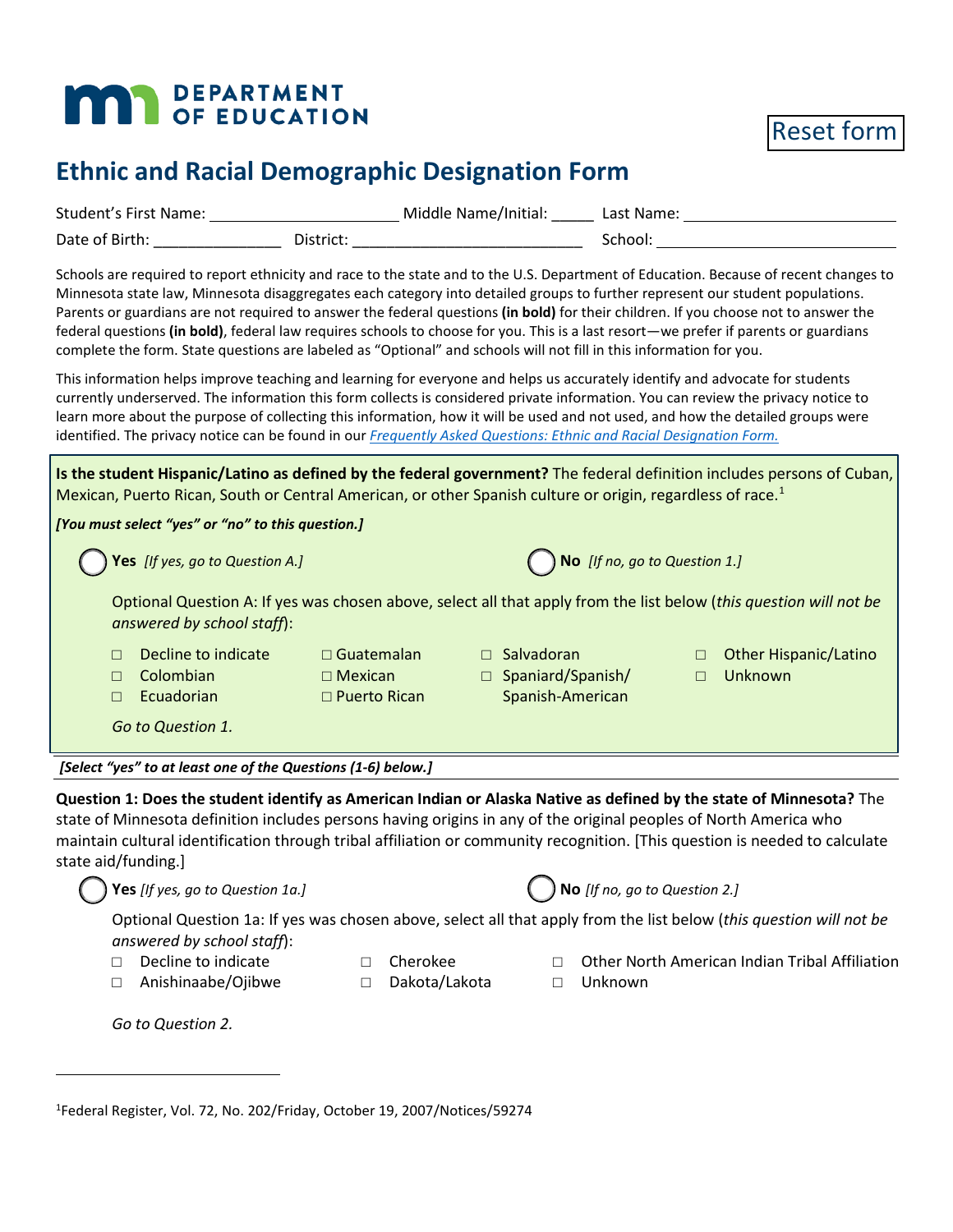# **MAY DEPARTMENT**

Reset form

# **Ethnic and Racial Demographic Designation Form**

|                                                                                                                     |                                                                       | Student's First Name: 1990 1991 1991 Middle Name/Initial: 1991 Last Name: 1992 1994                                                                                                                                                                                                                                                                                                                                                                                                                                                                  |
|---------------------------------------------------------------------------------------------------------------------|-----------------------------------------------------------------------|------------------------------------------------------------------------------------------------------------------------------------------------------------------------------------------------------------------------------------------------------------------------------------------------------------------------------------------------------------------------------------------------------------------------------------------------------------------------------------------------------------------------------------------------------|
|                                                                                                                     |                                                                       |                                                                                                                                                                                                                                                                                                                                                                                                                                                                                                                                                      |
| complete the form. State questions are labeled as "Optional" and schools will not fill in this information for you. |                                                                       | Schools are required to report ethnicity and race to the state and to the U.S. Department of Education. Because of recent changes to<br>Minnesota state law, Minnesota disaggregates each category into detailed groups to further represent our student populations.<br>Parents or guardians are not required to answer the federal questions (in bold) for their children. If you choose not to answer the<br>federal questions (in bold), federal law requires schools to choose for you. This is a last resort-we prefer if parents or guardians |
| identified. The privacy notice can be found in our Frequently Asked Questions: Ethnic and Racial Designation Form.  |                                                                       | This information helps improve teaching and learning for everyone and helps us accurately identify and advocate for students<br>currently underserved. The information this form collects is considered private information. You can review the privacy notice to<br>learn more about the purpose of collecting this information, how it will be used and not used, and how the detailed groups were                                                                                                                                                 |
|                                                                                                                     |                                                                       | Is the student Hispanic/Latino as defined by the federal government? The federal definition includes persons of Cuban,<br>Mexican, Puerto Rican, South or Central American, or other Spanish culture or origin, regardless of race. <sup>1</sup>                                                                                                                                                                                                                                                                                                     |
| [You must select "yes" or "no" to this question.]                                                                   |                                                                       |                                                                                                                                                                                                                                                                                                                                                                                                                                                                                                                                                      |
| Yes [If yes, go to Question A.]                                                                                     |                                                                       | No [If no, go to Question 1.]                                                                                                                                                                                                                                                                                                                                                                                                                                                                                                                        |
| answered by school staff):                                                                                          |                                                                       | Optional Question A: If yes was chosen above, select all that apply from the list below (this question will not be                                                                                                                                                                                                                                                                                                                                                                                                                                   |
| Decline to indicate<br>$\Box$<br>Colombian<br>$\Box$<br>Ecuadorian<br>$\Box$                                        | □ Salvadoran<br>$\Box$ Guatemalan<br>$\Box$ Mexican<br>□ Puerto Rican | <b>Other Hispanic/Latino</b><br>$\Box$<br>□ Spaniard/Spanish/<br>Unknown<br>$\Box$<br>Spanish-American                                                                                                                                                                                                                                                                                                                                                                                                                                               |
| Go to Question 1.                                                                                                   |                                                                       |                                                                                                                                                                                                                                                                                                                                                                                                                                                                                                                                                      |
| [Select "yes" to at least one of the Questions (1-6) below.]                                                        |                                                                       |                                                                                                                                                                                                                                                                                                                                                                                                                                                                                                                                                      |
| state aid/funding.]                                                                                                 |                                                                       | Question 1: Does the student identify as American Indian or Alaska Native as defined by the state of Minnesota? The<br>state of Minnesota definition includes persons having origins in any of the original peoples of North America who<br>maintain cultural identification through tribal affiliation or community recognition. [This question is needed to calculate                                                                                                                                                                              |
| Yes [If yes, go to Question 1a.]                                                                                    |                                                                       | $\bigcap$ No [If no, go to Question 2.]                                                                                                                                                                                                                                                                                                                                                                                                                                                                                                              |
| answered by school staff):                                                                                          |                                                                       | Optional Question 1a: If yes was chosen above, select all that apply from the list below (this question will not be                                                                                                                                                                                                                                                                                                                                                                                                                                  |
| Decline to indicate<br>П.<br>Anishinaabe/Ojibwe<br>$\Box$                                                           | Cherokee<br>$\Box$<br>Dakota/Lakota<br>$\Box$                         | Other North American Indian Tribal Affiliation<br>$\Box$<br>Unknown<br>$\Box$                                                                                                                                                                                                                                                                                                                                                                                                                                                                        |

1 Federal Register, Vol. 72, No. 202/Friday, October 19, 2007/Notices/59274

*Go to Question 2.*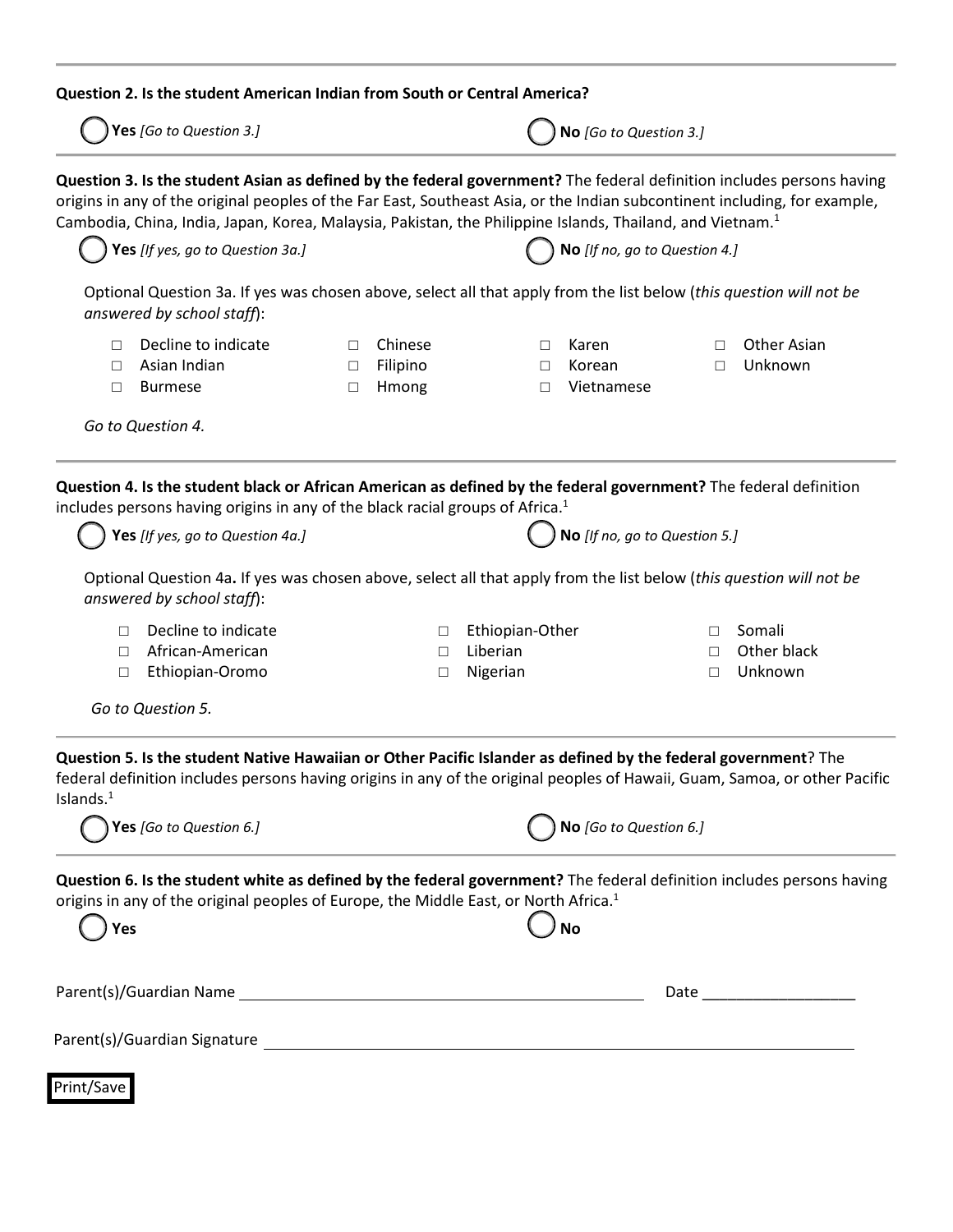|                       | Question 2. Is the student American Indian from South or Central America?                                                                                                                                                                                                                                                                                                    |                            |                              |                      |                                         |                  |                               |
|-----------------------|------------------------------------------------------------------------------------------------------------------------------------------------------------------------------------------------------------------------------------------------------------------------------------------------------------------------------------------------------------------------------|----------------------------|------------------------------|----------------------|-----------------------------------------|------------------|-------------------------------|
|                       | Yes [Go to Question 3.]                                                                                                                                                                                                                                                                                                                                                      |                            |                              |                      | No [Go to Question 3.]                  |                  |                               |
|                       | Question 3. Is the student Asian as defined by the federal government? The federal definition includes persons having<br>origins in any of the original peoples of the Far East, Southeast Asia, or the Indian subcontinent including, for example,<br>Cambodia, China, India, Japan, Korea, Malaysia, Pakistan, the Philippine Islands, Thailand, and Vietnam. <sup>1</sup> |                            |                              |                      |                                         |                  |                               |
|                       | Yes [If yes, go to Question 3a.]                                                                                                                                                                                                                                                                                                                                             |                            |                              |                      | $\big)$ No [If no, go to Question 4.]   |                  |                               |
|                       | Optional Question 3a. If yes was chosen above, select all that apply from the list below (this question will not be<br>answered by school staff):                                                                                                                                                                                                                            |                            |                              |                      |                                         |                  |                               |
| $\Box$<br>$\Box$<br>П | Decline to indicate<br>Asian Indian<br><b>Burmese</b><br>Go to Question 4.                                                                                                                                                                                                                                                                                                   | $\Box$<br>$\Box$<br>$\Box$ | Chinese<br>Filipino<br>Hmong | □<br>$\Box$<br>П     | Karen<br>Korean<br>Vietnamese           | $\Box$<br>$\Box$ | <b>Other Asian</b><br>Unknown |
|                       | Question 4. Is the student black or African American as defined by the federal government? The federal definition<br>includes persons having origins in any of the black racial groups of Africa. <sup>1</sup><br>Yes [If yes, go to Question 4a.]<br>Optional Question 4a. If yes was chosen above, select all that apply from the list below (this question will not be    |                            |                              |                      | $\bigcap$ No [If no, go to Question 5.] |                  |                               |
| П                     | answered by school staff):<br>Decline to indicate                                                                                                                                                                                                                                                                                                                            |                            | П                            | Ethiopian-Other      |                                         | П                | Somali                        |
| П<br>□                | African-American<br>Ethiopian-Oromo                                                                                                                                                                                                                                                                                                                                          |                            | $\Box$<br>$\Box$             | Liberian<br>Nigerian |                                         | П<br>П           | Other black<br>Unknown        |
|                       | Go to Question 5.                                                                                                                                                                                                                                                                                                                                                            |                            |                              |                      |                                         |                  |                               |
| Islands. $1$          | Question 5. Is the student Native Hawaiian or Other Pacific Islander as defined by the federal government? The<br>federal definition includes persons having origins in any of the original peoples of Hawaii, Guam, Samoa, or other Pacific                                                                                                                                 |                            |                              |                      |                                         |                  |                               |
|                       | Yes [Go to Question 6.]                                                                                                                                                                                                                                                                                                                                                      |                            |                              |                      | No [Go to Question 6.]                  |                  |                               |
| Yes                   | Question 6. Is the student white as defined by the federal government? The federal definition includes persons having<br>origins in any of the original peoples of Europe, the Middle East, or North Africa. <sup>1</sup>                                                                                                                                                    |                            |                              |                      | <b>No</b>                               |                  |                               |
|                       |                                                                                                                                                                                                                                                                                                                                                                              |                            |                              |                      |                                         |                  |                               |
|                       |                                                                                                                                                                                                                                                                                                                                                                              |                            |                              |                      |                                         |                  |                               |
| Print/Save            |                                                                                                                                                                                                                                                                                                                                                                              |                            |                              |                      |                                         |                  |                               |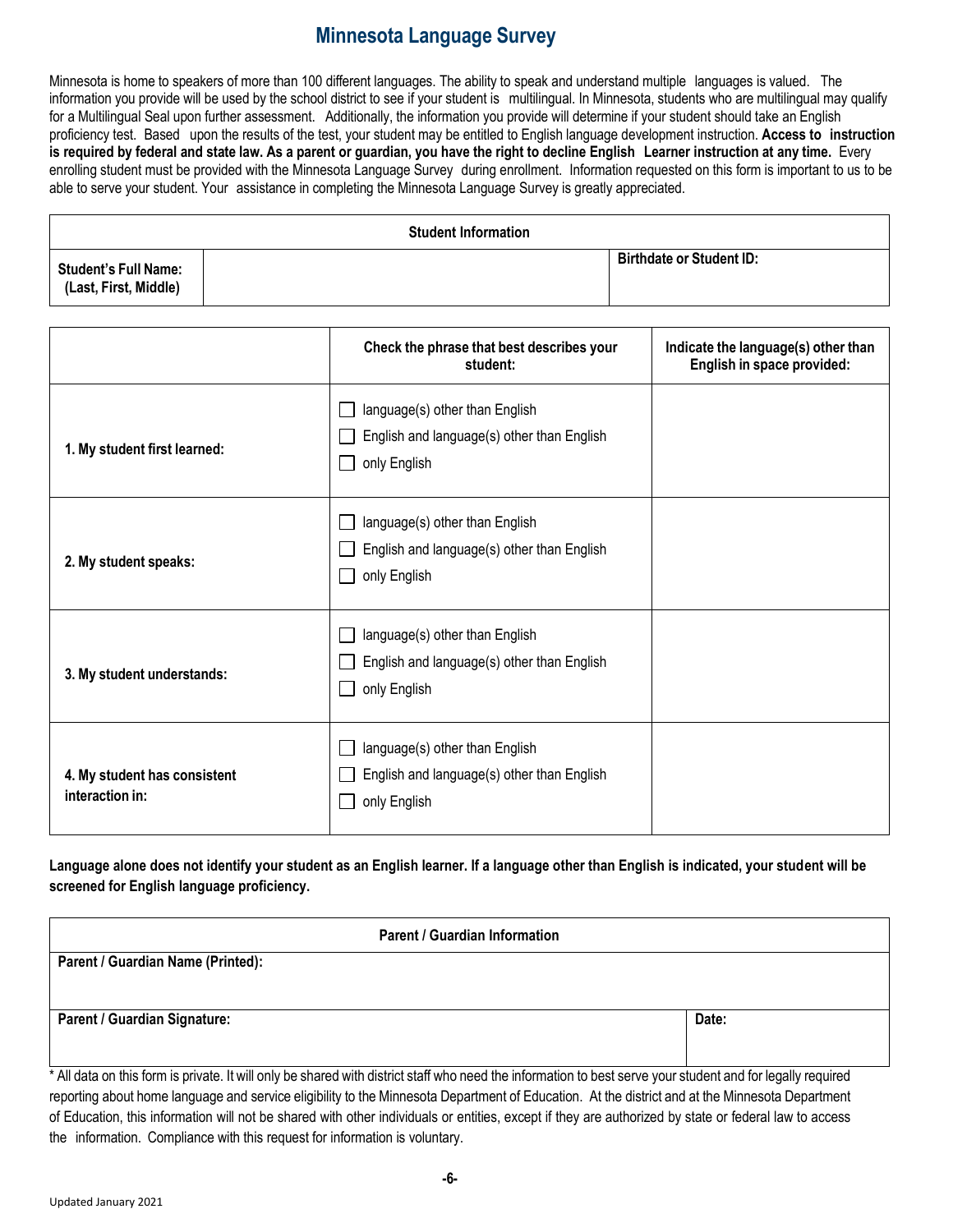## **Minnesota Language Survey**

Minnesota is home to speakers of more than 100 different languages. The ability to speak and understand multiple languages is valued. The information you provide will be used by the school district to see if your student is multilingual. In Minnesota, students who are multilingual may qualify for a Multilingual Seal upon further assessment. Additionally, the information you provide will determine if your student should take an English proficiency test. Based upon the results of the test, your student may be entitled to English language development instruction. **Access to instruction** is required by federal and state law. As a parent or guardian, you have the right to decline English Learner instruction at any time. Every enrolling student must be provided with the Minnesota Language Survey during enrollment. Information requested on this form is important to us to be able to serve your student. Your assistance in completing the Minnesota Language Survey is greatly appreciated.

|                                                      | <b>Student Information</b> |                                 |
|------------------------------------------------------|----------------------------|---------------------------------|
| <b>Student's Full Name:</b><br>(Last, First, Middle) |                            | <b>Birthdate or Student ID:</b> |

|                                                 | Check the phrase that best describes your<br>student:                                                         | Indicate the language(s) other than<br>English in space provided: |
|-------------------------------------------------|---------------------------------------------------------------------------------------------------------------|-------------------------------------------------------------------|
| 1. My student first learned:                    | language(s) other than English<br>English and language(s) other than English<br>only English                  |                                                                   |
| 2. My student speaks:                           | language(s) other than English<br>English and language(s) other than English<br>only English<br>$\mathcal{L}$ |                                                                   |
| 3. My student understands:                      | language(s) other than English<br>English and language(s) other than English<br>only English<br>$\sim$        |                                                                   |
| 4. My student has consistent<br>interaction in: | language(s) other than English<br>English and language(s) other than English<br>only English                  |                                                                   |

**Language alone does not identify your student as an English learner. If a language other than English is indicated, your student will be screened for English language proficiency.**

| Parent / Guardian Information                                                                                                                                                                                                                                                                                  |       |
|----------------------------------------------------------------------------------------------------------------------------------------------------------------------------------------------------------------------------------------------------------------------------------------------------------------|-------|
| Parent / Guardian Name (Printed):                                                                                                                                                                                                                                                                              |       |
|                                                                                                                                                                                                                                                                                                                |       |
| Parent / Guardian Signature:                                                                                                                                                                                                                                                                                   | Date: |
|                                                                                                                                                                                                                                                                                                                |       |
| * All data on this form is private. It will only be shared with district staff who need the information to best serve your student and for legally required<br>reporting about home language and service eligibility to the Minnesota Department of Education. At the district and at the Minnesota Department |       |

reporting about home language and service eligibility to the Minnesota Department of Education. At the district and at the Minnesota Department of Education, this information will not be shared with other individuals or entities, except if they are authorized by state or federal law to access the information. Compliance with this request for information is voluntary.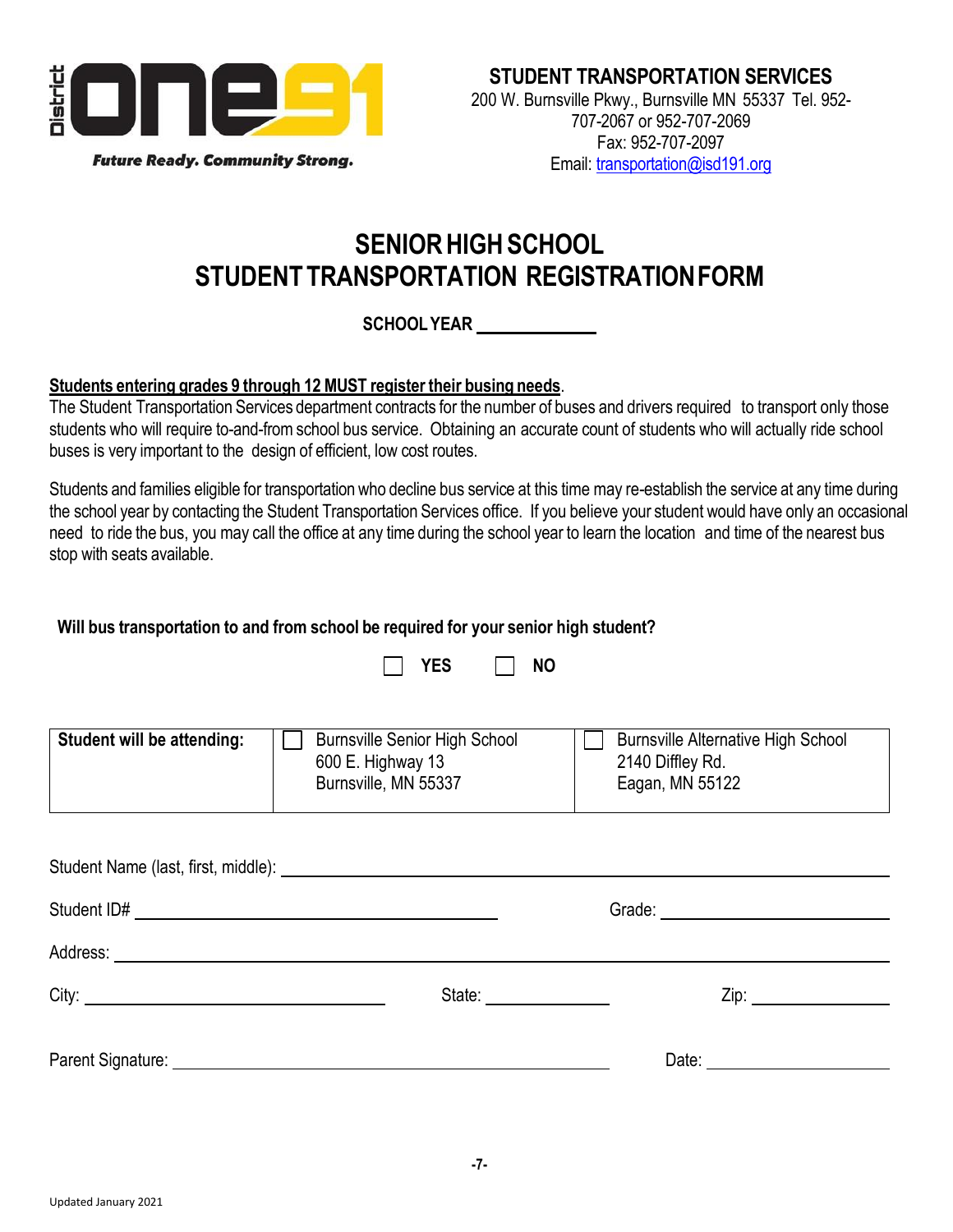

# **SENIORHIGHSCHOOL STUDENTTRANSPORTATION REGISTRATIONFORM**

### **SCHOOLYEAR**

#### **Students entering grades 9 through 12 MUST register their busing needs**.

The Student Transportation Services department contracts for the number of buses and drivers required to transport only those students who will require to-and-fromschool bus service. Obtaining an accurate count of students who will actually ride school buses is very important to the design of efficient, low cost routes.

Students and families eligible for transportation who decline bus service at this time may re-establish the service at any time during the school year by contacting the Student Transportation Services office. If you believe your student would have only an occasional need to ride the bus, you may call the office at any time during the school year to learn the location and time of the nearest bus stop with seats available.

### **Will bus transportation to and from school be required for your senior high student?**

|                                                                                                                                                                                                                                     | <b>YES</b><br><b>NO</b>                                                           |                                                                                                                                                                                                                                |
|-------------------------------------------------------------------------------------------------------------------------------------------------------------------------------------------------------------------------------------|-----------------------------------------------------------------------------------|--------------------------------------------------------------------------------------------------------------------------------------------------------------------------------------------------------------------------------|
| Student will be attending:                                                                                                                                                                                                          | <b>Burnsville Senior High School</b><br>600 E. Highway 13<br>Burnsville, MN 55337 | <b>Burnsville Alternative High School</b><br>2140 Diffley Rd.<br>Eagan, MN 55122                                                                                                                                               |
|                                                                                                                                                                                                                                     |                                                                                   |                                                                                                                                                                                                                                |
|                                                                                                                                                                                                                                     |                                                                                   |                                                                                                                                                                                                                                |
| Address: <u>Address:</u> Address: Address: Address: Address: Address: Address: Address: Address: Address: Address: Address: Address: Address: Address: Address: Address: Address: Address: Address: Address: Address: Address: Addr |                                                                                   |                                                                                                                                                                                                                                |
|                                                                                                                                                                                                                                     | State: <u>_______________________</u>                                             | Zip: the contract of the contract of the contract of the contract of the contract of the contract of the contract of the contract of the contract of the contract of the contract of the contract of the contract of the contr |
| Parent Signature: National Parent Signature:                                                                                                                                                                                        |                                                                                   | Date: $\frac{1}{\sqrt{1-\frac{1}{2}}\cdot\frac{1}{2}}$                                                                                                                                                                         |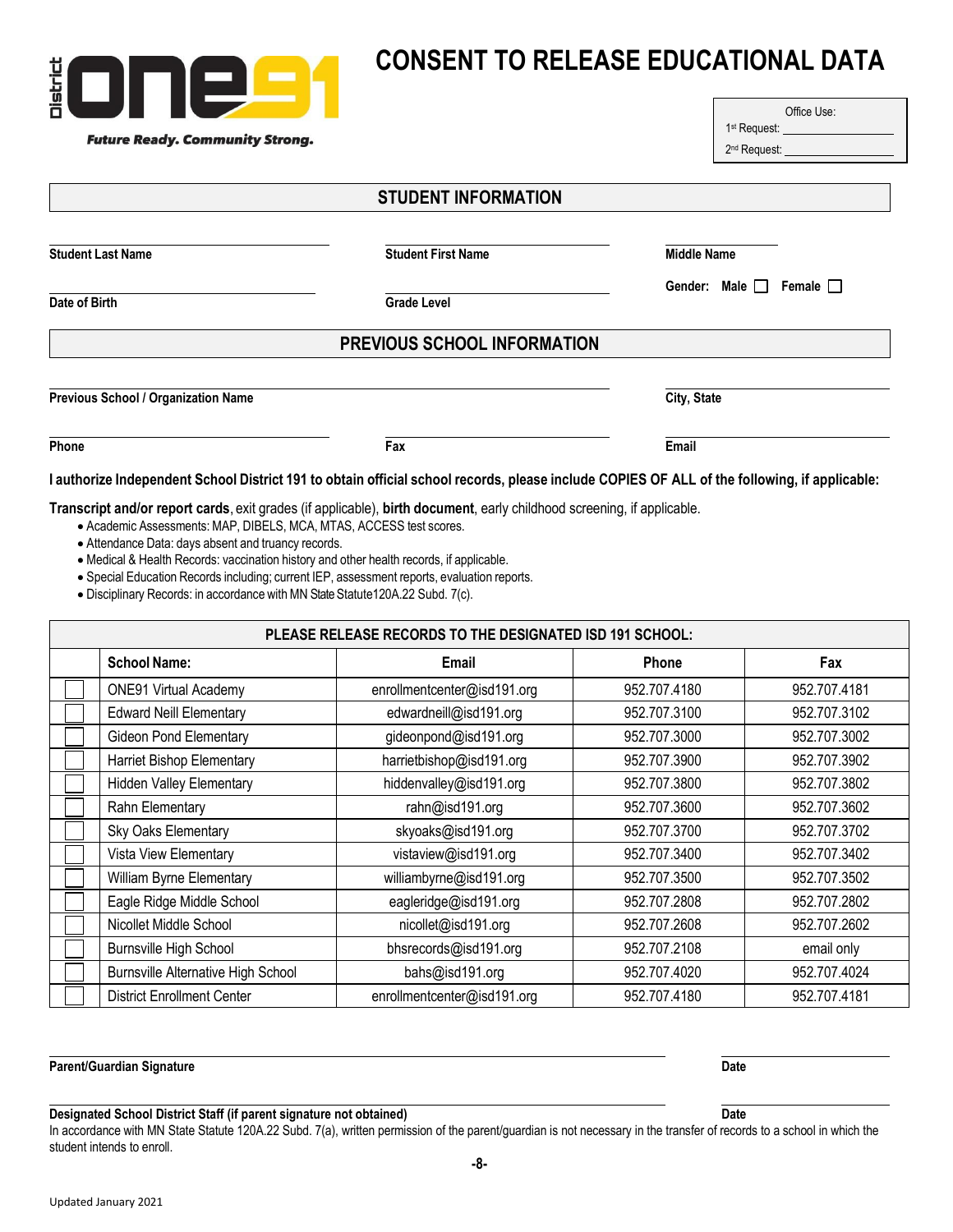| Õ۱<br><u> The Communication of the Communication of the Communication of the Communication of the Communication of the Communication of the Communication of the Communication of the Communication of the Communication of the Commun</u><br><b>Future Ready. Community Strong.</b> |                             | Office Use:<br>1 <sup>st</sup> Request: ______________________<br>2 <sup>nd</sup> Request: ______________________ |
|--------------------------------------------------------------------------------------------------------------------------------------------------------------------------------------------------------------------------------------------------------------------------------------|-----------------------------|-------------------------------------------------------------------------------------------------------------------|
|                                                                                                                                                                                                                                                                                      | <b>STUDENT INFORMATION</b>  |                                                                                                                   |
| <b>Student Last Name</b>                                                                                                                                                                                                                                                             | <b>Student First Name</b>   | <b>Middle Name</b>                                                                                                |
| Date of Birth                                                                                                                                                                                                                                                                        | <b>Grade Level</b>          | Gender: Male   Female                                                                                             |
|                                                                                                                                                                                                                                                                                      | PREVIOUS SCHOOL INFORMATION |                                                                                                                   |
| <b>Previous School / Organization Name</b>                                                                                                                                                                                                                                           |                             | City, State                                                                                                       |

I authorize Independent School District 191 to obtain official school records, please include COPIES OF ALL of the following, if applicable:

**Transcript and/or report cards**, exit grades (if applicable), **birth document**, early childhood screening, if applicable.

**Phone Fax Email**

• Academic Assessments: MAP, DIBELS, MCA, MTAS, ACCESS test scores.

 $\blacksquare$ 

• Attendance Data: days absent and truancy records.

listric

• Medical & Health Records: vaccination history and other health records, if applicable.

• Special Education Records including; current IEP, assessment reports, evaluation reports.

• Disciplinary Records: in accordance with MN State Statute120A.22 Subd. 7(c).

| PLEASE RELEASE RECORDS TO THE DESIGNATED ISD 191 SCHOOL: |                                           |                             |              |              |  |
|----------------------------------------------------------|-------------------------------------------|-----------------------------|--------------|--------------|--|
|                                                          | <b>School Name:</b>                       | Email                       | Phone        | Fax          |  |
|                                                          | <b>ONE91 Virtual Academy</b>              | enrollmentcenter@isd191.org | 952.707.4180 | 952.707.4181 |  |
|                                                          | <b>Edward Neill Elementary</b>            | edwardneill@isd191.org      | 952.707.3100 | 952.707.3102 |  |
|                                                          | Gideon Pond Elementary                    | gideonpond@isd191.org       | 952.707.3000 | 952.707.3002 |  |
|                                                          | Harriet Bishop Elementary                 | harrietbishop@isd191.org    | 952.707.3900 | 952.707.3902 |  |
|                                                          | <b>Hidden Valley Elementary</b>           | hiddenvalley@isd191.org     | 952.707.3800 | 952.707.3802 |  |
|                                                          | Rahn Elementary                           | rahn@isd191.org             | 952.707.3600 | 952.707.3602 |  |
|                                                          | Sky Oaks Elementary                       | skyoaks@isd191.org          | 952.707.3700 | 952.707.3702 |  |
|                                                          | Vista View Elementary                     | vistaview@isd191.org        | 952.707.3400 | 952.707.3402 |  |
|                                                          | William Byrne Elementary                  | williambyrne@isd191.org     | 952.707.3500 | 952.707.3502 |  |
|                                                          | Eagle Ridge Middle School                 | eagleridge@isd191.org       | 952.707.2808 | 952.707.2802 |  |
|                                                          | Nicollet Middle School                    | nicollet@isd191.org         | 952.707.2608 | 952.707.2602 |  |
|                                                          | <b>Burnsville High School</b>             | bhsrecords@isd191.org       | 952.707.2108 | email only   |  |
|                                                          | <b>Burnsville Alternative High School</b> | bahs@isd191.org             | 952.707.4020 | 952.707.4024 |  |
|                                                          | <b>District Enrollment Center</b>         | enrollmentcenter@isd191.org | 952.707.4180 | 952.707.4181 |  |

**Designated School District Staff (if parent signature not obtained) Date**

In accordance with MN State Statute 120A.22 Subd. 7(a), written permission of the parent/guardian is not necessary in the transfer of records to a school in which the student intends to enroll.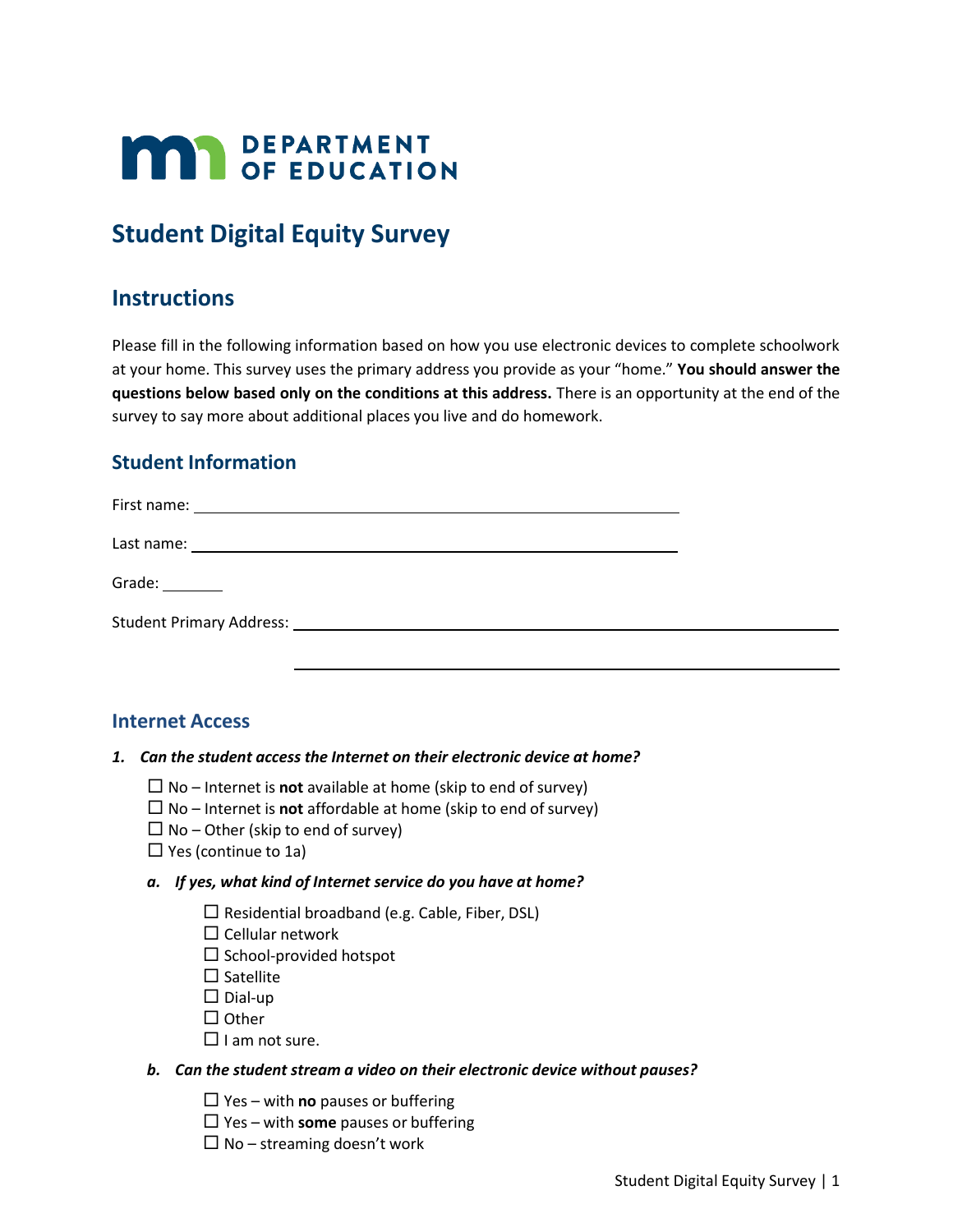# **MAY DEPARTMENT**

# **Student Digital Equity Survey**

## **Instructions**

Please fill in the following information based on how you use electronic devices to complete schoolwork at your home. This survey uses the primary address you provide as your "home." **You should answer the questions below based only on the conditions at this address.** There is an opportunity at the end of the survey to say more about additional places you live and do homework.

## **Student Information**

| Grade: $\frac{1}{\sqrt{1-\frac{1}{2}}\cdot\frac{1}{2}}$ |  |
|---------------------------------------------------------|--|
|                                                         |  |
|                                                         |  |

### **Internet Access**

#### *1. Can the student access the Internet on their electronic device at home?*

- $\Box$  No Internet is **not** available at home (skip to end of survey)
- $\Box$  No Internet is **not** affordable at home (skip to end of survey)
- $\Box$  No Other (skip to end of survey)
- $\Box$  Yes (continue to 1a)

#### *a. If yes, what kind of Internet service do you have at home?*

- $\square$  Residential broadband (e.g. Cable, Fiber, DSL)
- $\square$  Cellular network
- $\square$  School-provided hotspot
- $\square$  Satellite
- $\square$  Dial-up
- $\Box$  Other
- $\Box$  I am not sure.

#### *b. Can the student stream a video on their electronic device without pauses?*

- $\Box$  Yes with **no** pauses or buffering
- $\Box$  Yes with **some** pauses or buffering
- $\Box$  No streaming doesn't work